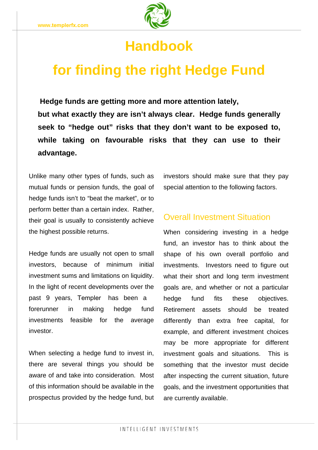

## **Handbook**

# **for finding the right Hedge Fund**

**but what exactly they are isn't always clear. Hedge funds generally seek to "hedge out" risks that they don't want to be exposed to, while taking on favourable risks that they can use to their advantage. Hedge funds are getting more and more attention lately,** 

Unlike many other types of funds, such as mutual funds or pension funds, the goal of hedge funds isn't to "beat the market", or to perform better than a certain index. Rather, their goal is usually to consistently achieve the highest possible returns.

Hedge funds are usually not open to small investors, because of minimum initial investment sums and limitations on liquidity. In the light of recent developments over the forerunner in making hedge fund investments feasible for the average investor. past 9 years, Templer has been a

When selecting a hedge fund to invest in, there are several things you should be aware of and take into consideration. Most of this information should be available in the prospectus provided by the hedge fund, but investors should make sure that they pay special attention to the following factors.

## Overall Investment Situation

When considering investing in a hedge fund, an investor has to think about the shape of his own overall portfolio and investments. Investors need to figure out what their short and long term investment goals are, and whether or not a particular hedge fund fits these objectives. Retirement assets should be treated differently than extra free capital, for example, and different investment choices may be more appropriate for different investment goals and situations. This is something that the investor must decide after inspecting the current situation, future goals, and the investment opportunities that are currently available.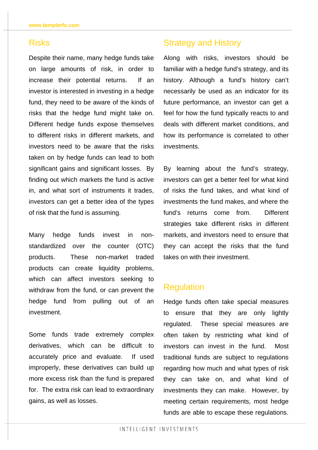### Risks

Despite their name, many hedge funds take on large amounts of risk, in order to increase their potential returns. If an investor is interested in investing in a hedge fund, they need to be aware of the kinds of risks that the hedge fund might take on. Different hedge funds expose themselves to different risks in different markets, and investors need to be aware that the risks taken on by hedge funds can lead to both significant gains and significant losses. By finding out which markets the fund is active in, and what sort of instruments it trades, investors can get a better idea of the types of risk that the fund is assuming.

Many hedge funds invest in nonstandardized over the counter (OTC) products. These non-market traded products can create liquidity problems, which can affect investors seeking to withdraw from the fund, or can prevent the hedge fund from pulling out of an investment.

Some funds trade extremely complex derivatives, which can be difficult to accurately price and evaluate. If used improperly, these derivatives can build up more excess risk than the fund is prepared for. The extra risk can lead to extraordinary gains, as well as losses.

## Strategy and History

Along with risks, investors should be familiar with a hedge fund's strategy, and its history. Although a fund's history can't necessarily be used as an indicator for its future performance, an investor can get a feel for how the fund typically reacts to and deals with different market conditions, and how its performance is correlated to other investments.

By learning about the fund's strategy, investors can get a better feel for what kind of risks the fund takes, and what kind of investments the fund makes, and where the fund's returns come from. Different strategies take different risks in different markets, and investors need to ensure that they can accept the risks that the fund takes on with their investment.

#### **Requlation**

Hedge funds often take special measures to ensure that they are only lightly regulated. These special measures are often taken by restricting what kind of investors can invest in the fund. Most traditional funds are subject to regulations regarding how much and what types of risk they can take on, and what kind of investments they can make. However, by meeting certain requirements, most hedge funds are able to escape these regulations.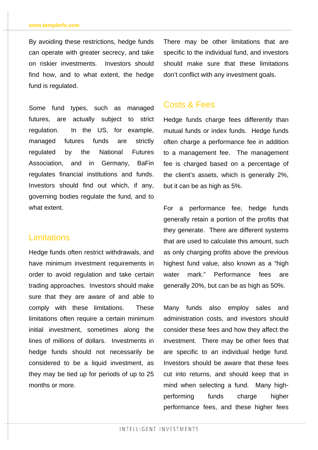By avoiding these restrictions, hedge funds can operate with greater secrecy, and take on riskier investments. Investors should find how, and to what extent, the hedge fund is regulated.

Some fund types, such as managed futures, are actually subject to strict regulation. In the US, for example, managed futures funds are strictly regulated by the National Futures Association, and in Germany, BaFin regulates financial institutions and funds. Investors should find out which, if any, governing bodies regulate the fund, and to what extent.

#### **Limitations**

Hedge funds often restrict withdrawals, and have minimum investment requirements in order to avoid regulation and take certain trading approaches. Investors should make sure that they are aware of and able to comply with these limitations. These limitations often require a certain minimum initial investment, sometimes along the lines of millions of dollars. Investments in hedge funds should not necessarily be considered to be a liquid investment, as they may be tied up for periods of up to 25 months or more.

There may be other limitations that are specific to the individual fund, and investors should make sure that these limitations don't conflict with any investment goals.

### Costs & Fees

Hedge funds charge fees differently than mutual funds or index funds. Hedge funds often charge a performance fee in addition to a management fee. The management fee is charged based on a percentage of the client's assets, which is generally 2%, but it can be as high as 5%.

For a performance fee, hedge funds generally retain a portion of the profits that they generate. There are different systems that are used to calculate this amount, such as only charging profits above the previous highest fund value, also known as a "high water mark." Performance fees are generally 20%, but can be as high as 50%.

Many funds also employ sales and administration costs, and investors should consider these fees and how they affect the investment. There may be other fees that are specific to an individual hedge fund. Investors should be aware that these fees cut into returns, and should keep that in mind when selecting a fund. Many highperforming funds charge higher performance fees, and these higher fees